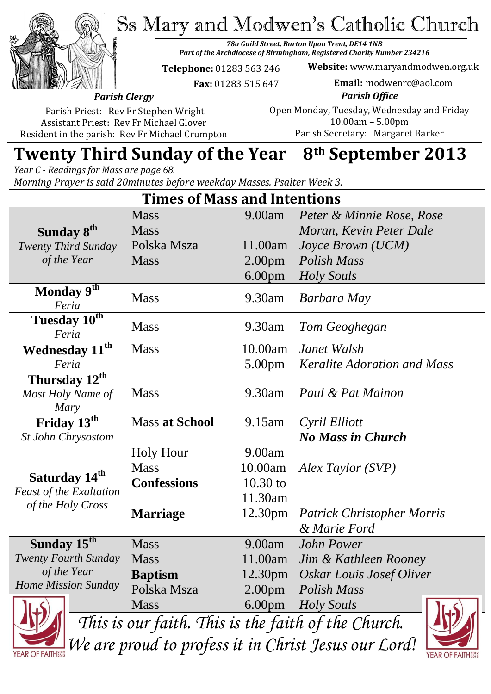Ss Mary and Modwen's Catholic Church



*78a Guild Street, Burton Upon Trent, DE14 1NB Part of the Archdiocese of Birmingham, Registered Charity Number 234216*

**Telephone:** 01283 563 246

**Website:** www.maryandmodwen.org.uk **Email:** modwenrc@aol.com

 **Fax:** 01283 515 647

*Parish Office* Open Monday, Tuesday, Wednesday and Friday

Parish Priest: Rev Fr Stephen Wright Assistant Priest: Rev Fr Michael Glover Resident in the parish: Rev Fr Michael Crumpton

10.00am – 5.00pm Parish Secretary:Margaret Barker

# **Twenty Third Sunday of the Year 8th September 2013**

*Year C - Readings for Mass are page 68. Morning Prayer is said 20minutes before weekday Masses. Psalter Week 3.*

| <b>Times of Mass and Intentions</b>                                              |                                 |                     |                                    |
|----------------------------------------------------------------------------------|---------------------------------|---------------------|------------------------------------|
|                                                                                  | <b>Mass</b>                     | 9.00am              | Peter & Minnie Rose, Rose          |
| Sunday 8 <sup>th</sup>                                                           | <b>Mass</b>                     |                     | Moran, Kevin Peter Dale            |
| <b>Twenty Third Sunday</b>                                                       | Polska Msza                     | 11.00am             | Joyce Brown (UCM)                  |
| of the Year                                                                      | <b>Mass</b>                     | 2.00 <sub>pm</sub>  | Polish Mass                        |
|                                                                                  |                                 | 6.00 <sub>pm</sub>  | <b>Holy Souls</b>                  |
| Monday 9th<br>Feria                                                              | <b>Mass</b>                     | 9.30am              | Barbara May                        |
| Tuesday 10 <sup>th</sup><br>Feria                                                | <b>Mass</b>                     | 9.30am              | Tom Geoghegan                      |
| Wednesday 11 <sup>th</sup>                                                       | <b>Mass</b>                     | 10.00am             | Janet Walsh                        |
| Feria                                                                            |                                 | 5.00pm              | <b>Keralite Adoration and Mass</b> |
| Thursday 12 <sup>th</sup><br>Most Holy Name of<br>Mary                           | <b>Mass</b>                     | 9.30am              | Paul & Pat Mainon                  |
| Friday 13 <sup>th</sup>                                                          | <b>Mass at School</b>           | $9.15$ am           | Cyril Elliott                      |
| <b>St John Chrysostom</b>                                                        |                                 |                     | <b>No Mass in Church</b>           |
| Saturday 14 <sup>th</sup><br><b>Feast of the Exaltation</b><br>of the Holy Cross | <b>Holy Hour</b><br><b>Mass</b> | 9.00am<br>10.00am   | Alex Taylor (SVP)                  |
|                                                                                  | <b>Confessions</b>              | $10.30$ to          |                                    |
|                                                                                  |                                 | 11.30am             |                                    |
|                                                                                  | <b>Marriage</b>                 | 12.30 <sub>pm</sub> | <b>Patrick Christopher Morris</b>  |
|                                                                                  |                                 |                     | & Marie Ford                       |
| Sunday 15 <sup>th</sup>                                                          | <b>Mass</b>                     | 9.00am              | <b>John Power</b>                  |
| <b>Twenty Fourth Sunday</b>                                                      | <b>Mass</b>                     | 11.00am             | Jim & Kathleen Rooney              |
| of the Year                                                                      | <b>Baptism</b>                  | 12.30 <sub>pm</sub> | Oskar Louis Josef Oliver           |
| Home Mission Sunday                                                              | Polska Msza                     | 2.00 <sub>pm</sub>  | Polish Mass                        |
|                                                                                  | <b>Mass</b>                     | 6.00 <sub>pm</sub>  | <b>Holy Souls</b>                  |
| This is our faith This is the faith of the Church                                |                                 |                     |                                    |



*This is our faith. This is the faith of the Church.*

*We are proud to profess it in Christ Jesus our Lord!*

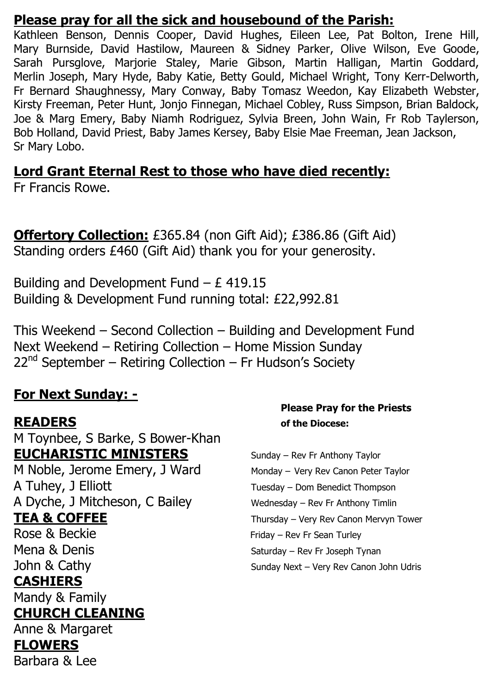### **Please pray for all the sick and housebound of the Parish:**

Kathleen Benson, Dennis Cooper, David Hughes, Eileen Lee, Pat Bolton, Irene Hill, Mary Burnside, David Hastilow, Maureen & Sidney Parker, Olive Wilson, Eve Goode, Sarah Pursglove, Marjorie Staley, Marie Gibson, Martin Halligan, Martin Goddard, Merlin Joseph, Mary Hyde, Baby Katie, Betty Gould, Michael Wright, Tony Kerr-Delworth, Fr Bernard Shaughnessy, Mary Conway, Baby Tomasz Weedon, Kay Elizabeth Webster, Kirsty Freeman, Peter Hunt, Jonjo Finnegan, Michael Cobley, Russ Simpson, Brian Baldock, Joe & Marg Emery, Baby Niamh Rodriguez, Sylvia Breen, John Wain, Fr Rob Taylerson, Bob Holland, David Priest, Baby James Kersey, Baby Elsie Mae Freeman, Jean Jackson, Sr Mary Lobo.

### **Lord Grant Eternal Rest to those who have died recently:**

Fr Francis Rowe.

**Offertory Collection:** £365.84 (non Gift Aid); £386.86 (Gift Aid) Standing orders £460 (Gift Aid) thank you for your generosity.

Building and Development Fund  $- E 419.15$ Building & Development Fund running total: £22,992.81

This Weekend – Second Collection – Building and Development Fund Next Weekend – Retiring Collection – Home Mission Sunday  $22<sup>nd</sup>$  September – Retiring Collection – Fr Hudson's Society

# **For Next Sunday: -**

M Toynbee, S Barke, S Bower-Khan **EUCHARISTIC MINISTERS** Sunday – Rev Fr Anthony Taylor

M Noble, Jerome Emery, J Ward Monday – Very Rev Canon Peter Taylor A Tuhey, J Elliott Thompson A Dyche, J Mitcheson, C Bailey Wednesday – Rev Fr Anthony Timlin

#### **CASHIERS**

Mandy & Family

#### **CHURCH CLEANING**

Anne & Margaret **FLOWERS**  Barbara & Lee

#### **Please Pray for the Priests READERS of the Diocese:**

**TEA & COFFEE** Thursday – Very Rev Canon Mervyn Tower Rose & Beckie Friday – Rev Fr Sean Turley Mena & Denis Saturday – Rev Fr Joseph Tynan John & Cathy Sunday Next – Very Rev Canon John Udris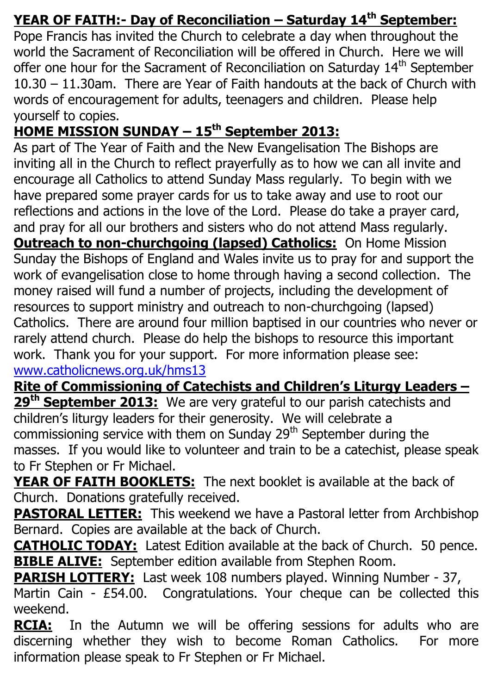# **YEAR OF FAITH:- Day of Reconciliation – Saturday 14th September:**

Pope Francis has invited the Church to celebrate a day when throughout the world the Sacrament of Reconciliation will be offered in Church. Here we will offer one hour for the Sacrament of Reconciliation on Saturday 14<sup>th</sup> September 10.30 – 11.30am. There are Year of Faith handouts at the back of Church with words of encouragement for adults, teenagers and children. Please help yourself to copies.

# **HOME MISSION SUNDAY – 15th September 2013:**

As part of The Year of Faith and the New Evangelisation The Bishops are inviting all in the Church to reflect prayerfully as to how we can all invite and encourage all Catholics to attend Sunday Mass regularly. To begin with we have prepared some prayer cards for us to take away and use to root our reflections and actions in the love of the Lord. Please do take a prayer card, and pray for all our brothers and sisters who do not attend Mass regularly. **Outreach to non-churchgoing (lapsed) Catholics:** On Home Mission Sunday the Bishops of England and Wales invite us to pray for and support the work of evangelisation close to home through having a second collection. The money raised will fund a number of projects, including the development of resources to support ministry and outreach to non-churchgoing (lapsed) Catholics. There are around four million baptised in our countries who never or rarely attend church. Please do help the bishops to resource this important work. Thank you for your support. For more information please see: [www.catholicnews.org.uk/hms13](http://www.catholicnews.org.uk/hms13)

**Rite of Commissioning of Catechists and Children's Liturgy Leaders – 29th September 2013:** We are very grateful to our parish catechists and children's liturgy leaders for their generosity. We will celebrate a commissioning service with them on Sunday  $29<sup>th</sup>$  September during the masses. If you would like to volunteer and train to be a catechist, please speak to Fr Stephen or Fr Michael.

**YEAR OF FAITH BOOKLETS:** The next booklet is available at the back of Church. Donations gratefully received.

**PASTORAL LETTER:** This weekend we have a Pastoral letter from Archbishop Bernard. Copies are available at the back of Church.

**CATHOLIC TODAY:** Latest Edition available at the back of Church. 50 pence. **BIBLE ALIVE:** September edition available from Stephen Room.

**PARISH LOTTERY:** Last week 108 numbers played. Winning Number - 37,

Martin Cain - £54.00. Congratulations. Your cheque can be collected this weekend.

**RCIA:** In the Autumn we will be offering sessions for adults who are discerning whether they wish to become Roman Catholics. For more information please speak to Fr Stephen or Fr Michael.